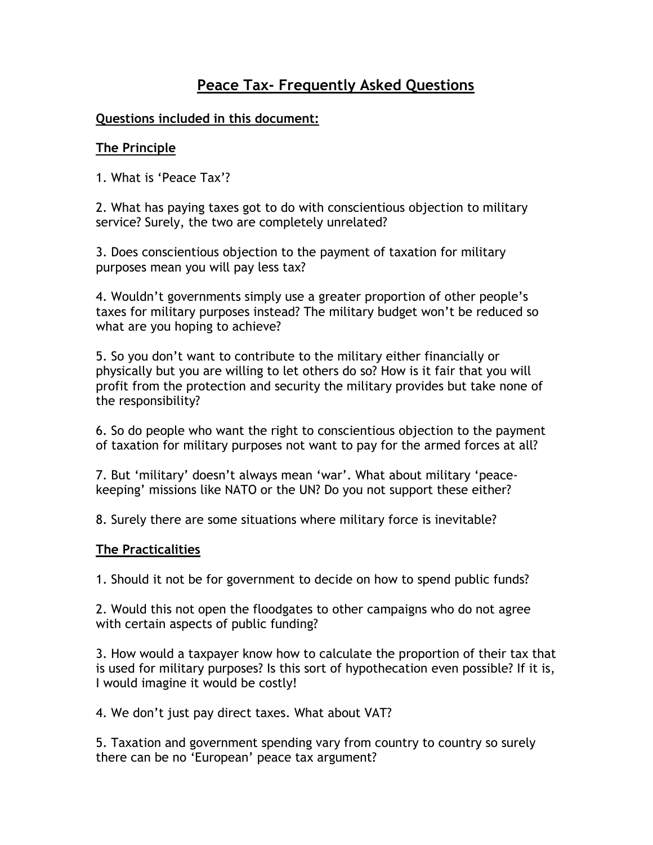# Peace Tax- Frequently Asked Questions

## Questions included in this document:

## The Principle

1. What is 'Peace Tax'?

2. What has paying taxes got to do with conscientious objection to military service? Surely, the two are completely unrelated?

3. Does conscientious objection to the payment of taxation for military purposes mean you will pay less tax?

4. Wouldn't governments simply use a greater proportion of other people's taxes for military purposes instead? The military budget won't be reduced so what are you hoping to achieve?

5. So you don't want to contribute to the military either financially or physically but you are willing to let others do so? How is it fair that you will profit from the protection and security the military provides but take none of the responsibility?

6. So do people who want the right to conscientious objection to the payment of taxation for military purposes not want to pay for the armed forces at all?

7. But 'military' doesn't always mean 'war'. What about military 'peacekeeping' missions like NATO or the UN? Do you not support these either?

8. Surely there are some situations where military force is inevitable?

#### The Practicalities

1. Should it not be for government to decide on how to spend public funds?

2. Would this not open the floodgates to other campaigns who do not agree with certain aspects of public funding?

3. How would a taxpayer know how to calculate the proportion of their tax that is used for military purposes? Is this sort of hypothecation even possible? If it is, I would imagine it would be costly!

4. We don't just pay direct taxes. What about VAT?

5. Taxation and government spending vary from country to country so surely there can be no 'European' peace tax argument?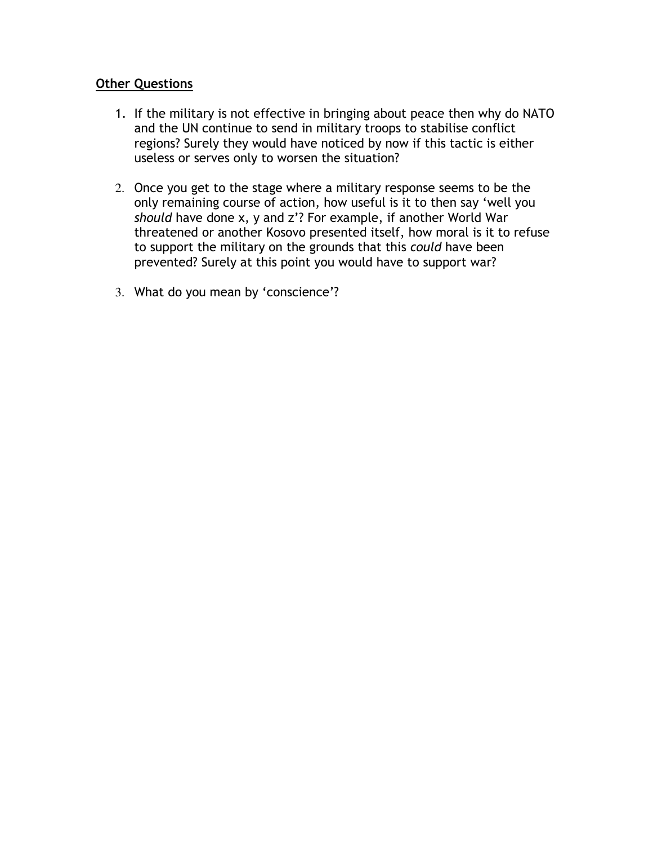## Other Questions

- 1. If the military is not effective in bringing about peace then why do NATO and the UN continue to send in military troops to stabilise conflict regions? Surely they would have noticed by now if this tactic is either useless or serves only to worsen the situation?
- 2. Once you get to the stage where a military response seems to be the only remaining course of action, how useful is it to then say 'well you should have done x, y and z'? For example, if another World War threatened or another Kosovo presented itself, how moral is it to refuse to support the military on the grounds that this could have been prevented? Surely at this point you would have to support war?
- 3. What do you mean by 'conscience'?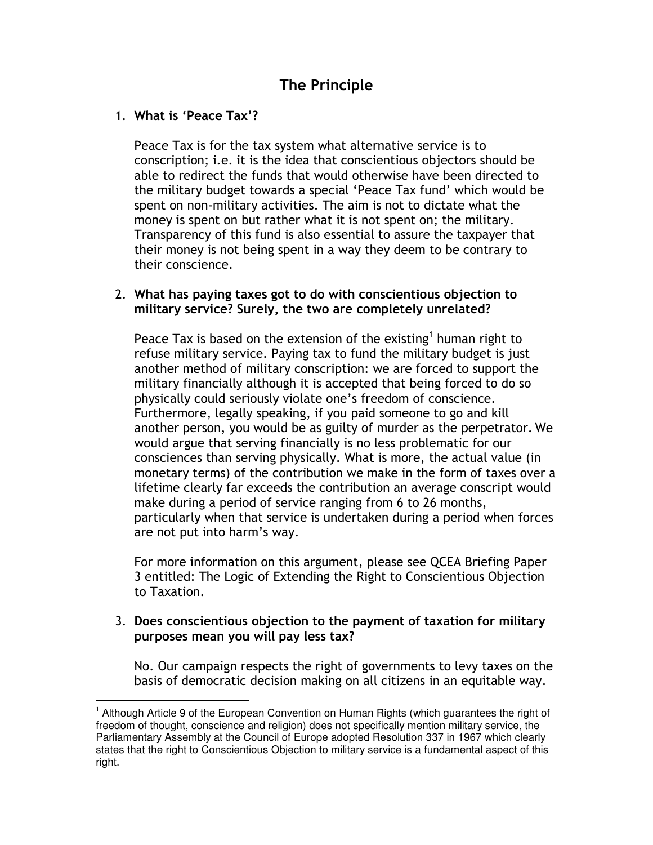# The Principle

## 1. What is 'Peace Tax'?

 $\overline{a}$ 

Peace Tax is for the tax system what alternative service is to conscription; i.e. it is the idea that conscientious objectors should be able to redirect the funds that would otherwise have been directed to the military budget towards a special 'Peace Tax fund' which would be spent on non-military activities. The aim is not to dictate what the money is spent on but rather what it is not spent on; the military. Transparency of this fund is also essential to assure the taxpayer that their money is not being spent in a way they deem to be contrary to their conscience.

## 2. What has paying taxes got to do with conscientious objection to military service? Surely, the two are completely unrelated?

Peace Tax is based on the extension of the existing<sup>1</sup> human right to refuse military service. Paying tax to fund the military budget is just another method of military conscription: we are forced to support the military financially although it is accepted that being forced to do so physically could seriously violate one's freedom of conscience. Furthermore, legally speaking, if you paid someone to go and kill another person, you would be as guilty of murder as the perpetrator. We would argue that serving financially is no less problematic for our consciences than serving physically. What is more, the actual value (in monetary terms) of the contribution we make in the form of taxes over a lifetime clearly far exceeds the contribution an average conscript would make during a period of service ranging from 6 to 26 months, particularly when that service is undertaken during a period when forces are not put into harm's way.

For more information on this argument, please see QCEA Briefing Paper 3 entitled: The Logic of Extending the Right to Conscientious Objection to Taxation.

#### 3. Does conscientious objection to the payment of taxation for military purposes mean you will pay less tax?

No. Our campaign respects the right of governments to levy taxes on the basis of democratic decision making on all citizens in an equitable way.

 $1$  Although Article 9 of the European Convention on Human Rights (which guarantees the right of freedom of thought, conscience and religion) does not specifically mention military service, the Parliamentary Assembly at the Council of Europe adopted Resolution 337 in 1967 which clearly states that the right to Conscientious Objection to military service is a fundamental aspect of this right.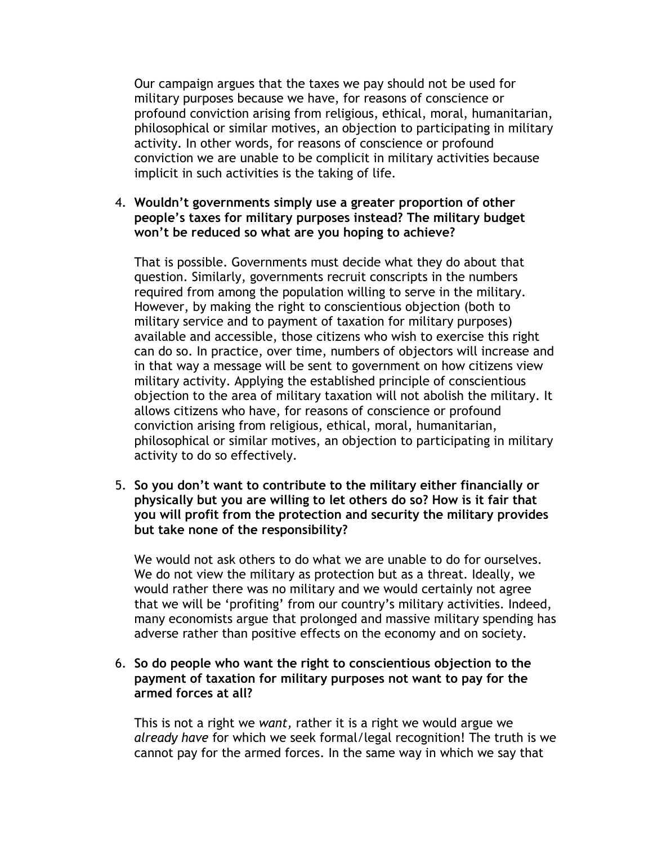Our campaign argues that the taxes we pay should not be used for military purposes because we have, for reasons of conscience or profound conviction arising from religious, ethical, moral, humanitarian, philosophical or similar motives, an objection to participating in military activity. In other words, for reasons of conscience or profound conviction we are unable to be complicit in military activities because implicit in such activities is the taking of life.

#### 4. Wouldn't governments simply use a greater proportion of other people's taxes for military purposes instead? The military budget won't be reduced so what are you hoping to achieve?

That is possible. Governments must decide what they do about that question. Similarly, governments recruit conscripts in the numbers required from among the population willing to serve in the military. However, by making the right to conscientious objection (both to military service and to payment of taxation for military purposes) available and accessible, those citizens who wish to exercise this right can do so. In practice, over time, numbers of objectors will increase and in that way a message will be sent to government on how citizens view military activity. Applying the established principle of conscientious objection to the area of military taxation will not abolish the military. It allows citizens who have, for reasons of conscience or profound conviction arising from religious, ethical, moral, humanitarian, philosophical or similar motives, an objection to participating in military activity to do so effectively.

5. So you don't want to contribute to the military either financially or physically but you are willing to let others do so? How is it fair that you will profit from the protection and security the military provides but take none of the responsibility?

We would not ask others to do what we are unable to do for ourselves. We do not view the military as protection but as a threat. Ideally, we would rather there was no military and we would certainly not agree that we will be 'profiting' from our country's military activities. Indeed, many economists argue that prolonged and massive military spending has adverse rather than positive effects on the economy and on society.

#### 6. So do people who want the right to conscientious objection to the payment of taxation for military purposes not want to pay for the armed forces at all?

This is not a right we want, rather it is a right we would argue we already have for which we seek formal/legal recognition! The truth is we cannot pay for the armed forces. In the same way in which we say that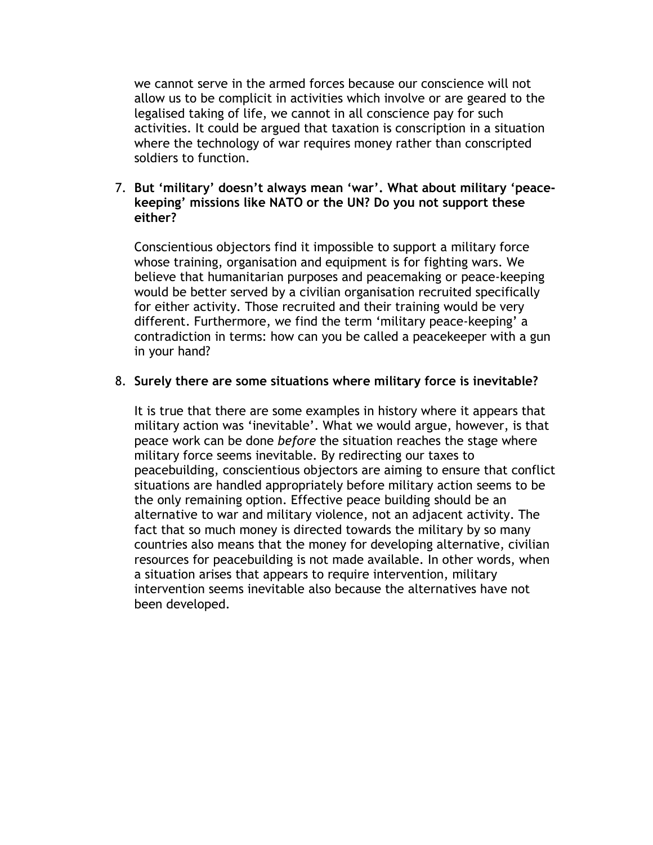we cannot serve in the armed forces because our conscience will not allow us to be complicit in activities which involve or are geared to the legalised taking of life, we cannot in all conscience pay for such activities. It could be argued that taxation is conscription in a situation where the technology of war requires money rather than conscripted soldiers to function.

#### 7. But 'military' doesn't always mean 'war'. What about military 'peacekeeping' missions like NATO or the UN? Do you not support these either?

Conscientious objectors find it impossible to support a military force whose training, organisation and equipment is for fighting wars. We believe that humanitarian purposes and peacemaking or peace-keeping would be better served by a civilian organisation recruited specifically for either activity. Those recruited and their training would be very different. Furthermore, we find the term 'military peace-keeping' a contradiction in terms: how can you be called a peacekeeper with a gun in your hand?

#### 8. Surely there are some situations where military force is inevitable?

It is true that there are some examples in history where it appears that military action was 'inevitable'. What we would argue, however, is that peace work can be done before the situation reaches the stage where military force seems inevitable. By redirecting our taxes to peacebuilding, conscientious objectors are aiming to ensure that conflict situations are handled appropriately before military action seems to be the only remaining option. Effective peace building should be an alternative to war and military violence, not an adjacent activity. The fact that so much money is directed towards the military by so many countries also means that the money for developing alternative, civilian resources for peacebuilding is not made available. In other words, when a situation arises that appears to require intervention, military intervention seems inevitable also because the alternatives have not been developed.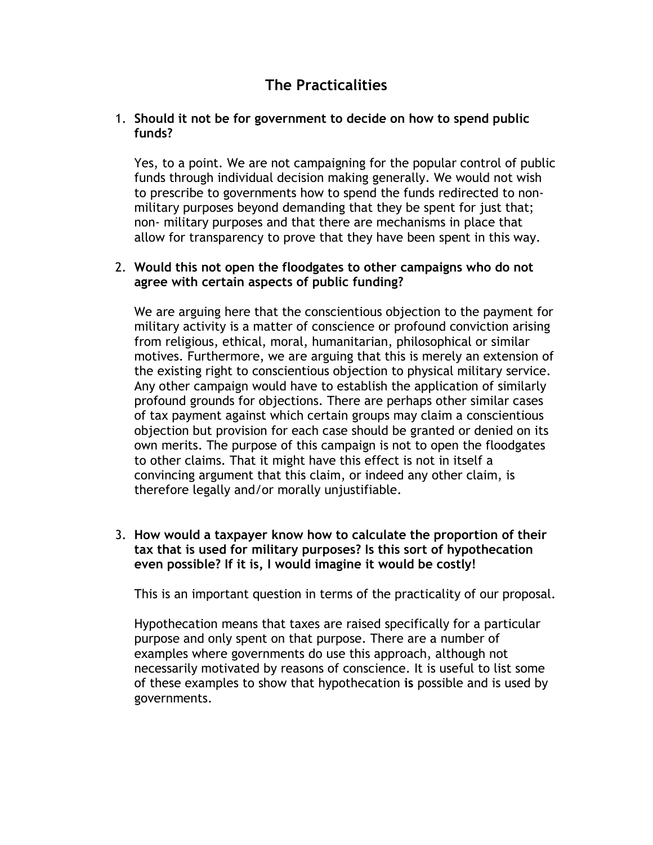# The Practicalities

### 1. Should it not be for government to decide on how to spend public funds?

Yes, to a point. We are not campaigning for the popular control of public funds through individual decision making generally. We would not wish to prescribe to governments how to spend the funds redirected to nonmilitary purposes beyond demanding that they be spent for just that; non- military purposes and that there are mechanisms in place that allow for transparency to prove that they have been spent in this way.

### 2. Would this not open the floodgates to other campaigns who do not agree with certain aspects of public funding?

We are arguing here that the conscientious objection to the payment for military activity is a matter of conscience or profound conviction arising from religious, ethical, moral, humanitarian, philosophical or similar motives. Furthermore, we are arguing that this is merely an extension of the existing right to conscientious objection to physical military service. Any other campaign would have to establish the application of similarly profound grounds for objections. There are perhaps other similar cases of tax payment against which certain groups may claim a conscientious objection but provision for each case should be granted or denied on its own merits. The purpose of this campaign is not to open the floodgates to other claims. That it might have this effect is not in itself a convincing argument that this claim, or indeed any other claim, is therefore legally and/or morally unjustifiable.

3. How would a taxpayer know how to calculate the proportion of their tax that is used for military purposes? Is this sort of hypothecation even possible? If it is, I would imagine it would be costly!

This is an important question in terms of the practicality of our proposal.

Hypothecation means that taxes are raised specifically for a particular purpose and only spent on that purpose. There are a number of examples where governments do use this approach, although not necessarily motivated by reasons of conscience. It is useful to list some of these examples to show that hypothecation is possible and is used by governments.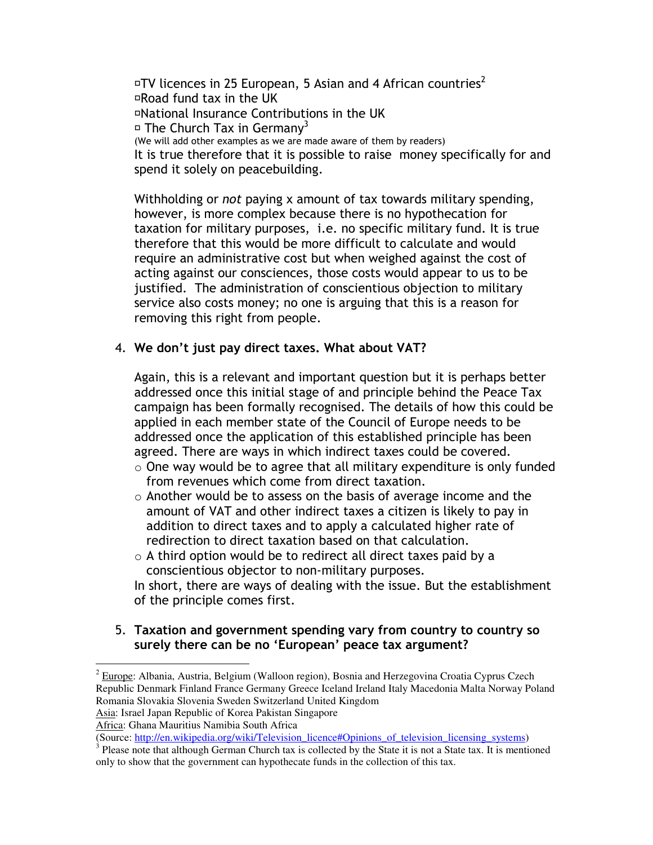FTV licences in 25 European, 5 Asian and 4 African countries<sup>2</sup> FRoad fund tax in the UK FNational Insurance Contributions in the UK F The Church Tax in Germany<sup>3</sup> (We will add other examples as we are made aware of them by readers) It is true therefore that it is possible to raise money specifically for and spend it solely on peacebuilding.

Withholding or *not* paying x amount of tax towards military spending, however, is more complex because there is no hypothecation for taxation for military purposes, i.e. no specific military fund. It is true therefore that this would be more difficult to calculate and would require an administrative cost but when weighed against the cost of acting against our consciences, those costs would appear to us to be justified. The administration of conscientious objection to military service also costs money; no one is arguing that this is a reason for removing this right from people.

#### 4. We don't just pay direct taxes. What about VAT?

Again, this is a relevant and important question but it is perhaps better addressed once this initial stage of and principle behind the Peace Tax campaign has been formally recognised. The details of how this could be applied in each member state of the Council of Europe needs to be addressed once the application of this established principle has been agreed. There are ways in which indirect taxes could be covered.

- $\circ$  One way would be to agree that all military expenditure is only funded from revenues which come from direct taxation.
- o Another would be to assess on the basis of average income and the amount of VAT and other indirect taxes a citizen is likely to pay in addition to direct taxes and to apply a calculated higher rate of redirection to direct taxation based on that calculation.
- $\circ$  A third option would be to redirect all direct taxes paid by a conscientious objector to non-military purposes.

In short, there are ways of dealing with the issue. But the establishment of the principle comes first.

#### 5. Taxation and government spending vary from country to country so surely there can be no 'European' peace tax argument?

Africa: Ghana Mauritius Namibia South Africa

 $2$  Europe: Albania, Austria, Belgium (Walloon region), Bosnia and Herzegovina Croatia Cyprus Czech Republic Denmark Finland France Germany Greece Iceland Ireland Italy Macedonia Malta Norway Poland Romania Slovakia Slovenia Sweden Switzerland United Kingdom Asia: Israel Japan Republic of Korea Pakistan Singapore

<sup>(</sup>Source: http://en.wikipedia.org/wiki/Television\_licence#Opinions\_of\_television\_licensing\_systems)

 $3$  Please note that although German Church tax is collected by the State it is not a State tax. It is mentioned only to show that the government can hypothecate funds in the collection of this tax.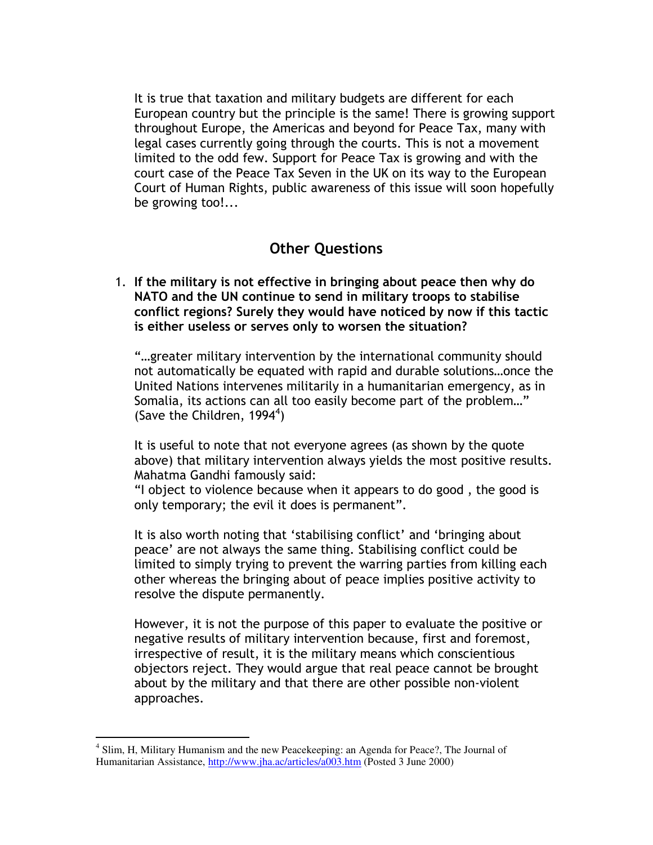It is true that taxation and military budgets are different for each European country but the principle is the same! There is growing support throughout Europe, the Americas and beyond for Peace Tax, many with legal cases currently going through the courts. This is not a movement limited to the odd few. Support for Peace Tax is growing and with the court case of the Peace Tax Seven in the UK on its way to the European Court of Human Rights, public awareness of this issue will soon hopefully be growing too!...

## Other Questions

1. If the military is not effective in bringing about peace then why do NATO and the UN continue to send in military troops to stabilise conflict regions? Surely they would have noticed by now if this tactic is either useless or serves only to worsen the situation?

"…greater military intervention by the international community should not automatically be equated with rapid and durable solutions…once the United Nations intervenes militarily in a humanitarian emergency, as in Somalia, its actions can all too easily become part of the problem…" (Save the Children, 1994<sup>4</sup>)

It is useful to note that not everyone agrees (as shown by the quote above) that military intervention always yields the most positive results. Mahatma Gandhi famously said:

"I object to violence because when it appears to do good , the good is only temporary; the evil it does is permanent".

It is also worth noting that 'stabilising conflict' and 'bringing about peace' are not always the same thing. Stabilising conflict could be limited to simply trying to prevent the warring parties from killing each other whereas the bringing about of peace implies positive activity to resolve the dispute permanently.

However, it is not the purpose of this paper to evaluate the positive or negative results of military intervention because, first and foremost, irrespective of result, it is the military means which conscientious objectors reject. They would argue that real peace cannot be brought about by the military and that there are other possible non-violent approaches.

<sup>&</sup>lt;sup>4</sup> Slim, H, Military Humanism and the new Peacekeeping: an Agenda for Peace?, The Journal of Humanitarian Assistance, http://www.jha.ac/articles/a003.htm (Posted 3 June 2000)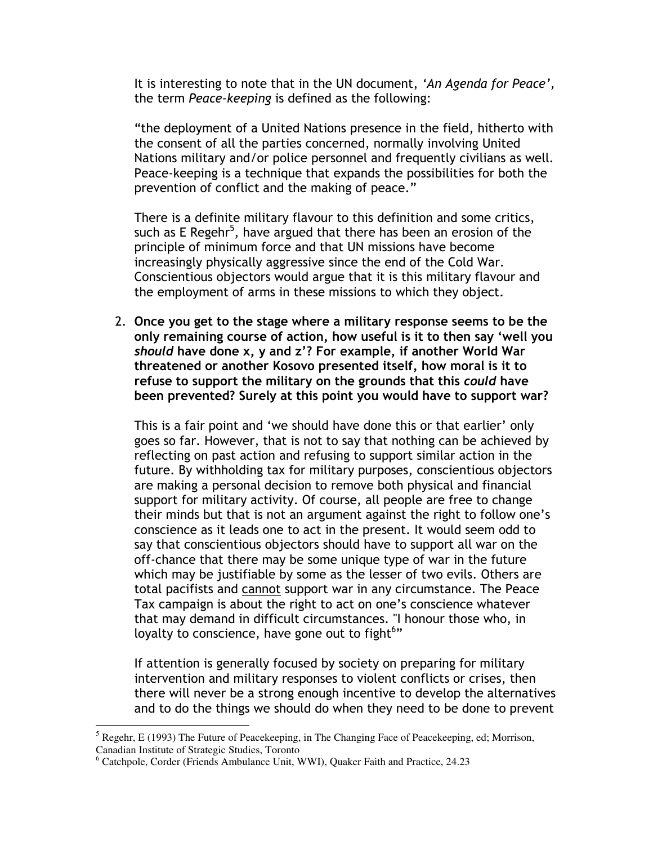It is interesting to note that in the UN document, 'An Agenda for Peace', the term Peace-keeping is defined as the following:

"the deployment of a United Nations presence in the field, hitherto with the consent of all the parties concerned, normally involving United Nations military and/or police personnel and frequently civilians as well. Peace-keeping is a technique that expands the possibilities for both the prevention of conflict and the making of peace."

There is a definite military flavour to this definition and some critics, such as E Regehr<sup>5</sup>, have argued that there has been an erosion of the principle of minimum force and that UN missions have become increasingly physically aggressive since the end of the Cold War. Conscientious objectors would argue that it is this military flavour and the employment of arms in these missions to which they object.

2. Once you get to the stage where a military response seems to be the only remaining course of action, how useful is it to then say 'well you should have done x, y and z'? For example, if another World War threatened or another Kosovo presented itself, how moral is it to refuse to support the military on the grounds that this could have been prevented? Surely at this point you would have to support war?

This is a fair point and 'we should have done this or that earlier' only goes so far. However, that is not to say that nothing can be achieved by reflecting on past action and refusing to support similar action in the future. By withholding tax for military purposes, conscientious objectors are making a personal decision to remove both physical and financial support for military activity. Of course, all people are free to change their minds but that is not an argument against the right to follow one's conscience as it leads one to act in the present. It would seem odd to say that conscientious objectors should have to support all war on the off-chance that there may be some unique type of war in the future which may be justifiable by some as the lesser of two evils. Others are total pacifists and cannot support war in any circumstance. The Peace Tax campaign is about the right to act on one's conscience whatever that may demand in difficult circumstances. "I honour those who, in loyalty to conscience, have gone out to fight $6"$ 

If attention is generally focused by society on preparing for military intervention and military responses to violent conflicts or crises, then there will never be a strong enough incentive to develop the alternatives and to do the things we should do when they need to be done to prevent

 $<sup>5</sup>$  Regehr, E (1993) The Future of Peacekeeping, in The Changing Face of Peacekeeping, ed; Morrison,</sup> Canadian Institute of Strategic Studies, Toronto

<sup>6</sup> Catchpole, Corder (Friends Ambulance Unit, WWI), Quaker Faith and Practice, 24.23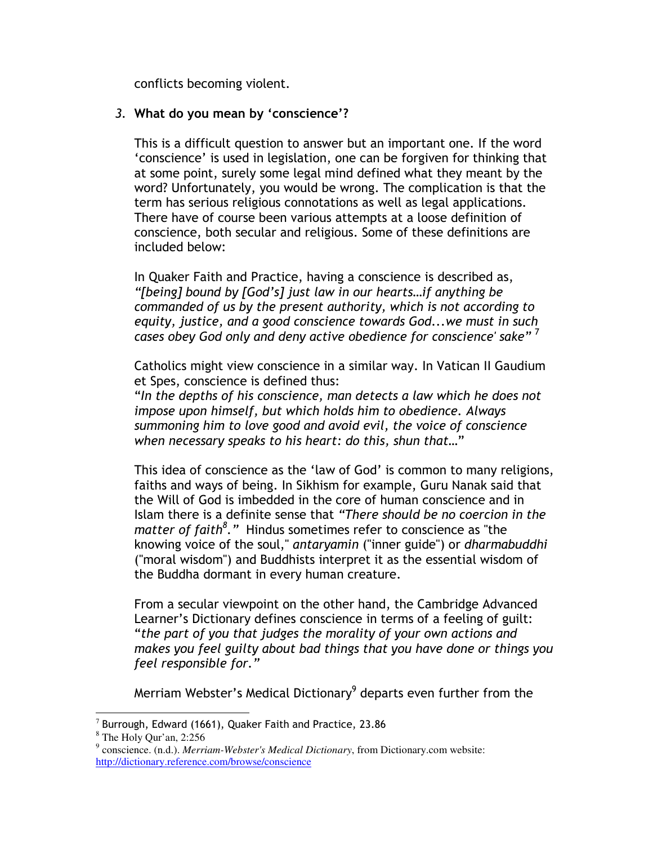conflicts becoming violent.

## 3. What do you mean by 'conscience'?

This is a difficult question to answer but an important one. If the word 'conscience' is used in legislation, one can be forgiven for thinking that at some point, surely some legal mind defined what they meant by the word? Unfortunately, you would be wrong. The complication is that the term has serious religious connotations as well as legal applications. There have of course been various attempts at a loose definition of conscience, both secular and religious. Some of these definitions are included below:

In Quaker Faith and Practice, having a conscience is described as, "[being] bound by [God's] just law in our hearts…if anything be commanded of us by the present authority, which is not according to equity, justice, and a good conscience towards God...we must in such cases obey God only and deny active obedience for conscience' sake"  $'$ 

Catholics might view conscience in a similar way. In Vatican II Gaudium et Spes, conscience is defined thus:

"In the depths of his conscience, man detects a law which he does not impose upon himself, but which holds him to obedience. Always summoning him to love good and avoid evil, the voice of conscience when necessary speaks to his heart: do this, shun that…"

This idea of conscience as the 'law of God' is common to many religions, faiths and ways of being. In Sikhism for example, Guru Nanak said that the Will of God is imbedded in the core of human conscience and in Islam there is a definite sense that "There should be no coercion in the matter of faith<sup>8</sup>." Hindus sometimes refer to conscience as "the knowing voice of the soul," antaryamin ("inner guide") or dharmabuddhi ("moral wisdom") and Buddhists interpret it as the essential wisdom of the Buddha dormant in every human creature.

From a secular viewpoint on the other hand, the Cambridge Advanced Learner's Dictionary defines conscience in terms of a feeling of guilt: "the part of you that judges the morality of your own actions and makes you feel guilty about bad things that you have done or things you feel responsible for."

Merriam Webster's Medical Dictionary<sup>9</sup> departs even further from the

 7 Burrough, Edward (1661), Quaker Faith and Practice, 23.86

<sup>8</sup> The Holy Qur'an, 2:256

<sup>9</sup> conscience. (n.d.). *Merriam-Webster's Medical Dictionary*, from Dictionary.com website: http://dictionary.reference.com/browse/conscience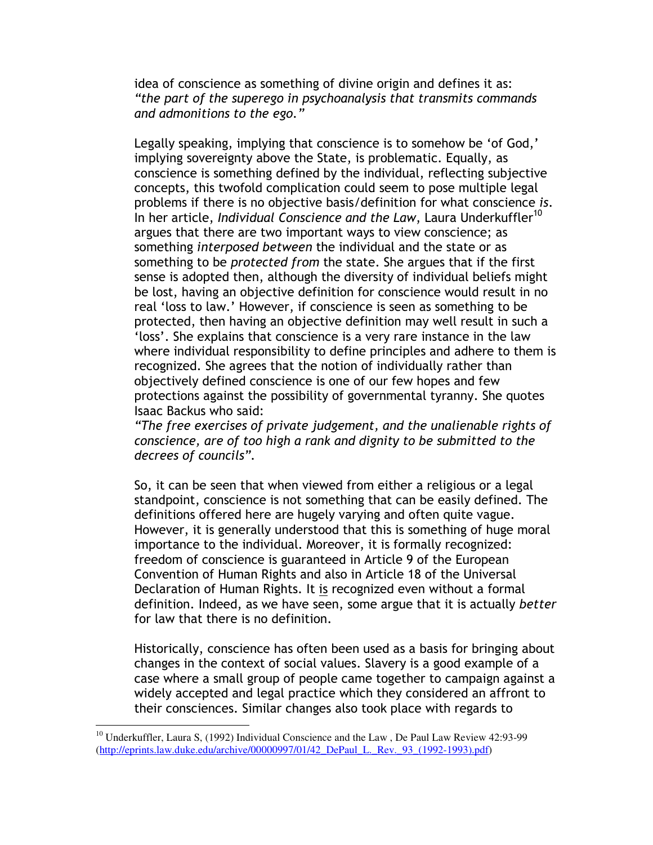idea of conscience as something of divine origin and defines it as: "the part of the superego in psychoanalysis that transmits commands and admonitions to the ego."

Legally speaking, implying that conscience is to somehow be 'of God,' implying sovereignty above the State, is problematic. Equally, as conscience is something defined by the individual, reflecting subjective concepts, this twofold complication could seem to pose multiple legal problems if there is no objective basis/definition for what conscience is. In her article, Individual Conscience and the Law, Laura Underkuffler<sup>10</sup> argues that there are two important ways to view conscience; as something *interposed between* the individual and the state or as something to be protected from the state. She argues that if the first sense is adopted then, although the diversity of individual beliefs might be lost, having an objective definition for conscience would result in no real 'loss to law.' However, if conscience is seen as something to be protected, then having an objective definition may well result in such a 'loss'. She explains that conscience is a very rare instance in the law where individual responsibility to define principles and adhere to them is recognized. She agrees that the notion of individually rather than objectively defined conscience is one of our few hopes and few protections against the possibility of governmental tyranny. She quotes Isaac Backus who said:

"The free exercises of private judgement, and the unalienable rights of conscience, are of too high a rank and dignity to be submitted to the decrees of councils".

So, it can be seen that when viewed from either a religious or a legal standpoint, conscience is not something that can be easily defined. The definitions offered here are hugely varying and often quite vague. However, it is generally understood that this is something of huge moral importance to the individual. Moreover, it is formally recognized: freedom of conscience is guaranteed in Article 9 of the European Convention of Human Rights and also in Article 18 of the Universal Declaration of Human Rights. It is recognized even without a formal definition. Indeed, as we have seen, some argue that it is actually better for law that there is no definition.

Historically, conscience has often been used as a basis for bringing about changes in the context of social values. Slavery is a good example of a case where a small group of people came together to campaign against a widely accepted and legal practice which they considered an affront to their consciences. Similar changes also took place with regards to

<sup>&</sup>lt;sup>10</sup> Underkuffler, Laura S, (1992) Individual Conscience and the Law, De Paul Law Review 42:93-99 (http://eprints.law.duke.edu/archive/00000997/01/42\_DePaul\_L.\_Rev.\_93\_(1992-1993).pdf)